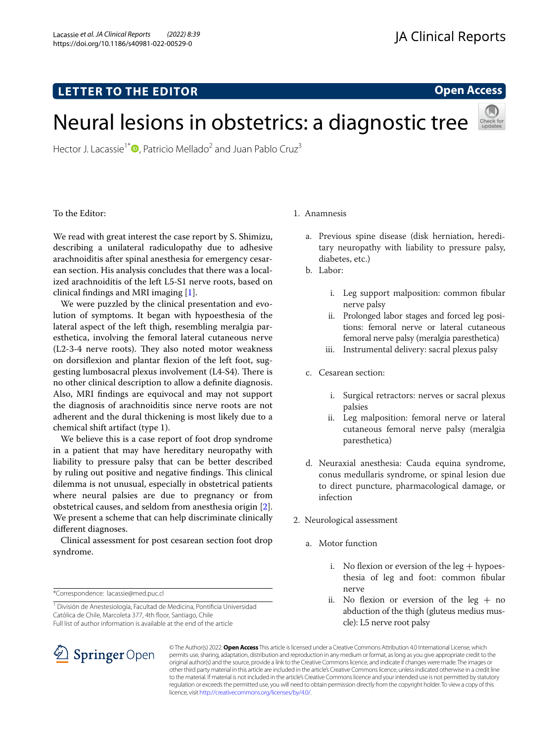# **LETTER TO THE EDITOR**

## **Open Access**

# Neural lesions in obstetrics: a diagnostic tree

Hector J. Lacassie<sup>1\*</sup><sup>(a)</sup>[,](http://orcid.org/0000-0001-5758-4113) Patricio Mellado<sup>2</sup> and Juan Pablo Cruz<sup>3</sup>



We read with great interest the case report by S. Shimizu, describing a unilateral radiculopathy due to adhesive arachnoiditis after spinal anesthesia for emergency cesarean section. His analysis concludes that there was a localized arachnoiditis of the left L5-S1 nerve roots, based on clinical fndings and MRI imaging [\[1\]](#page-1-0).

We were puzzled by the clinical presentation and evolution of symptoms. It began with hypoesthesia of the lateral aspect of the left thigh, resembling meralgia paresthetica, involving the femoral lateral cutaneous nerve  $(L2-3-4$  nerve roots). They also noted motor weakness on dorsifexion and plantar fexion of the left foot, suggesting lumbosacral plexus involvement (L4-S4). There is no other clinical description to allow a defnite diagnosis. Also, MRI fndings are equivocal and may not support the diagnosis of arachnoiditis since nerve roots are not adherent and the dural thickening is most likely due to a chemical shift artifact (type 1).

We believe this is a case report of foot drop syndrome in a patient that may have hereditary neuropathy with liability to pressure palsy that can be better described by ruling out positive and negative findings. This clinical dilemma is not unusual, especially in obstetrical patients where neural palsies are due to pregnancy or from obstetrical causes, and seldom from anesthesia origin [\[2](#page-1-1)]. We present a scheme that can help discriminate clinically diferent diagnoses.

Clinical assessment for post cesarean section foot drop syndrome.

\*Correspondence: lacassie@med.puc.cl

<sup>1</sup> División de Anestesiología, Facultad de Medicina, Pontificia Universidad Católica de Chile, Marcoleta 377, 4th floor, Santiago, Chile Full list of author information is available at the end of the article

## 1. Anamnesis

- a. Previous spine disease (disk herniation, hereditary neuropathy with liability to pressure palsy, diabetes, etc.)
- b. Labor:
	- i. Leg support malposition: common fbular nerve palsy
	- ii. Prolonged labor stages and forced leg positions: femoral nerve or lateral cutaneous femoral nerve palsy (meralgia paresthetica)
	- iii. Instrumental delivery: sacral plexus palsy
- c. Cesarean section:
	- i. Surgical retractors: nerves or sacral plexus palsies
	- ii. Leg malposition: femoral nerve or lateral cutaneous femoral nerve palsy (meralgia paresthetica)
- d. Neuraxial anesthesia: Cauda equina syndrome, conus medullaris syndrome, or spinal lesion due to direct puncture, pharmacological damage, or infection
- 2. Neurological assessment
	- a. Motor function
		- i. No flexion or eversion of the  $\log +$  hypoesthesia of leg and foot: common fbular nerve
		- ii. No flexion or eversion of the leg  $+$  no abduction of the thigh (gluteus medius muscle): L5 nerve root palsy



© The Author(s) 2022. **Open Access** This article is licensed under a Creative Commons Attribution 4.0 International License, which permits use, sharing, adaptation, distribution and reproduction in any medium or format, as long as you give appropriate credit to the original author(s) and the source, provide a link to the Creative Commons licence, and indicate if changes were made. The images or other third party material in this article are included in the article's Creative Commons licence, unless indicated otherwise in a credit line to the material. If material is not included in the article's Creative Commons licence and your intended use is not permitted by statutory regulation or exceeds the permitted use, you will need to obtain permission directly from the copyright holder. To view a copy of this licence, visit [http://creativecommons.org/licenses/by/4.0/.](http://creativecommons.org/licenses/by/4.0/)